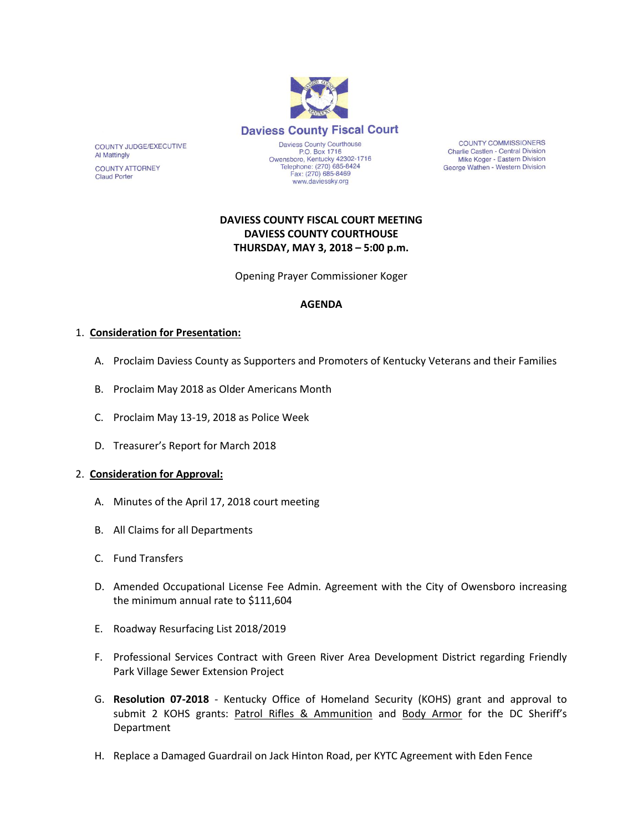

**COUNTY COMMISSIONERS** Charlie Castlen - Central Division<br>Mike Koger - Eastern Division George Wathen - Western Division

# **DAVIESS COUNTY FISCAL COURT MEETING DAVIESS COUNTY COURTHOUSE THURSDAY, MAY 3, 2018 – 5:00 p.m.**

www.daviessky.org

Opening Prayer Commissioner Koger

### **AGENDA**

#### 1. **Consideration for Presentation:**

- A. Proclaim Daviess County as Supporters and Promoters of Kentucky Veterans and their Families
- B. Proclaim May 2018 as Older Americans Month
- C. Proclaim May 13-19, 2018 as Police Week
- D. Treasurer's Report for March 2018

#### 2. **Consideration for Approval:**

- A. Minutes of the April 17, 2018 court meeting
- B. All Claims for all Departments
- C. Fund Transfers
- D. Amended Occupational License Fee Admin. Agreement with the City of Owensboro increasing the minimum annual rate to \$111,604
- E. Roadway Resurfacing List 2018/2019
- F. Professional Services Contract with Green River Area Development District regarding Friendly Park Village Sewer Extension Project
- G. **Resolution 07-2018** Kentucky Office of Homeland Security (KOHS) grant and approval to submit 2 KOHS grants: Patrol Rifles & Ammunition and Body Armor for the DC Sheriff's Department
- H. Replace a Damaged Guardrail on Jack Hinton Road, per KYTC Agreement with Eden Fence

COUNTY JUDGE/EXECUTIVE Al Mattingly **COUNTY ATTORNEY** 

**Claud Porter**